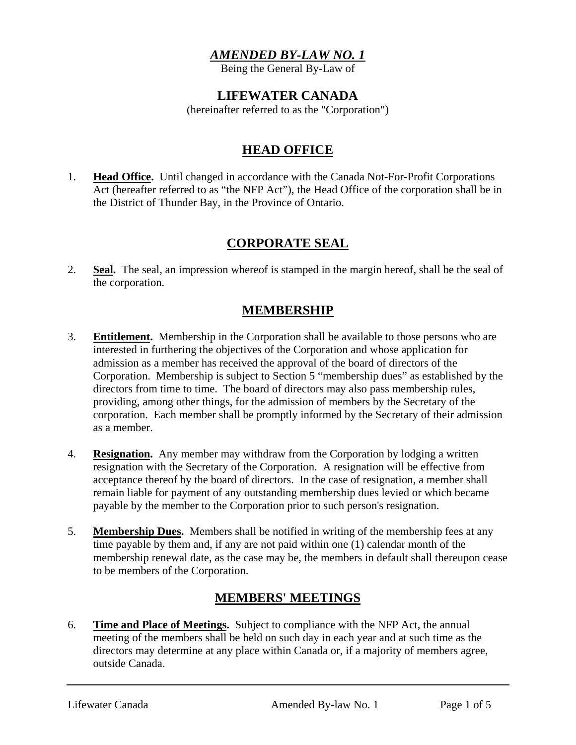#### *AMENDED BY-LAW NO. 1*

Being the General By-Law of

#### **LIFEWATER CANADA**

(hereinafter referred to as the "Corporation")

# **HEAD OFFICE**

1. **Head Office.** Until changed in accordance with the Canada Not-For-Profit Corporations Act (hereafter referred to as "the NFP Act"), the Head Office of the corporation shall be in the District of Thunder Bay, in the Province of Ontario.

# **CORPORATE SEAL**

2. **Seal.** The seal, an impression whereof is stamped in the margin hereof, shall be the seal of the corporation.

### **MEMBERSHIP**

- 3. **Entitlement.** Membership in the Corporation shall be available to those persons who are interested in furthering the objectives of the Corporation and whose application for admission as a member has received the approval of the board of directors of the Corporation. Membership is subject to Section 5 "membership dues" as established by the directors from time to time. The board of directors may also pass membership rules, providing, among other things, for the admission of members by the Secretary of the corporation. Each member shall be promptly informed by the Secretary of their admission as a member.
- 4. **Resignation.** Any member may withdraw from the Corporation by lodging a written resignation with the Secretary of the Corporation. A resignation will be effective from acceptance thereof by the board of directors. In the case of resignation, a member shall remain liable for payment of any outstanding membership dues levied or which became payable by the member to the Corporation prior to such person's resignation.
- 5. **Membership Dues.** Members shall be notified in writing of the membership fees at any time payable by them and, if any are not paid within one (1) calendar month of the membership renewal date, as the case may be, the members in default shall thereupon cease to be members of the Corporation.

# **MEMBERS' MEETINGS**

6. **Time and Place of Meetings.** Subject to compliance with the NFP Act, the annual meeting of the members shall be held on such day in each year and at such time as the directors may determine at any place within Canada or, if a majority of members agree, outside Canada.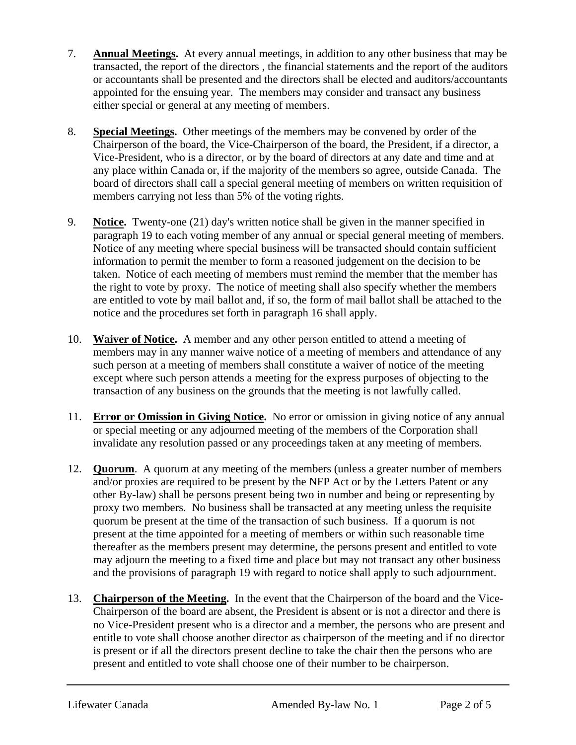- 7. **Annual Meetings.** At every annual meetings, in addition to any other business that may be transacted, the report of the directors , the financial statements and the report of the auditors or accountants shall be presented and the directors shall be elected and auditors/accountants appointed for the ensuing year. The members may consider and transact any business either special or general at any meeting of members.
- 8. **Special Meetings.** Other meetings of the members may be convened by order of the Chairperson of the board, the Vice-Chairperson of the board, the President, if a director, a Vice-President, who is a director, or by the board of directors at any date and time and at any place within Canada or, if the majority of the members so agree, outside Canada. The board of directors shall call a special general meeting of members on written requisition of members carrying not less than 5% of the voting rights.
- 9. **Notice.** Twenty-one (21) day's written notice shall be given in the manner specified in paragraph 19 to each voting member of any annual or special general meeting of members. Notice of any meeting where special business will be transacted should contain sufficient information to permit the member to form a reasoned judgement on the decision to be taken. Notice of each meeting of members must remind the member that the member has the right to vote by proxy. The notice of meeting shall also specify whether the members are entitled to vote by mail ballot and, if so, the form of mail ballot shall be attached to the notice and the procedures set forth in paragraph 16 shall apply.
- 10. **Waiver of Notice.** A member and any other person entitled to attend a meeting of members may in any manner waive notice of a meeting of members and attendance of any such person at a meeting of members shall constitute a waiver of notice of the meeting except where such person attends a meeting for the express purposes of objecting to the transaction of any business on the grounds that the meeting is not lawfully called.
- 11. **Error or Omission in Giving Notice.** No error or omission in giving notice of any annual or special meeting or any adjourned meeting of the members of the Corporation shall invalidate any resolution passed or any proceedings taken at any meeting of members.
- 12. **Quorum**. A quorum at any meeting of the members (unless a greater number of members and/or proxies are required to be present by the NFP Act or by the Letters Patent or any other By-law) shall be persons present being two in number and being or representing by proxy two members. No business shall be transacted at any meeting unless the requisite quorum be present at the time of the transaction of such business. If a quorum is not present at the time appointed for a meeting of members or within such reasonable time thereafter as the members present may determine, the persons present and entitled to vote may adjourn the meeting to a fixed time and place but may not transact any other business and the provisions of paragraph 19 with regard to notice shall apply to such adjournment.
- 13. **Chairperson of the Meeting.** In the event that the Chairperson of the board and the Vice-Chairperson of the board are absent, the President is absent or is not a director and there is no Vice-President present who is a director and a member, the persons who are present and entitle to vote shall choose another director as chairperson of the meeting and if no director is present or if all the directors present decline to take the chair then the persons who are present and entitled to vote shall choose one of their number to be chairperson.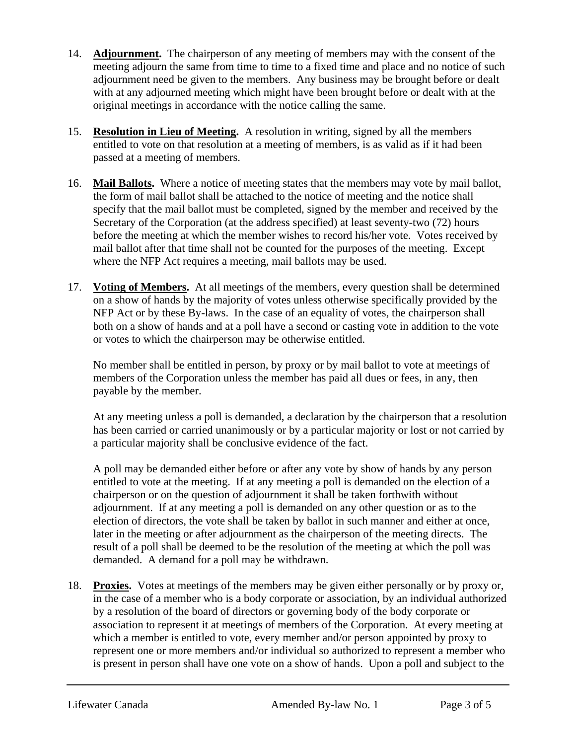- 14. **Adjournment.** The chairperson of any meeting of members may with the consent of the meeting adjourn the same from time to time to a fixed time and place and no notice of such adjournment need be given to the members. Any business may be brought before or dealt with at any adjourned meeting which might have been brought before or dealt with at the original meetings in accordance with the notice calling the same.
- 15. **Resolution in Lieu of Meeting.** A resolution in writing, signed by all the members entitled to vote on that resolution at a meeting of members, is as valid as if it had been passed at a meeting of members.
- 16. **Mail Ballots.** Where a notice of meeting states that the members may vote by mail ballot, the form of mail ballot shall be attached to the notice of meeting and the notice shall specify that the mail ballot must be completed, signed by the member and received by the Secretary of the Corporation (at the address specified) at least seventy-two (72) hours before the meeting at which the member wishes to record his/her vote. Votes received by mail ballot after that time shall not be counted for the purposes of the meeting. Except where the NFP Act requires a meeting, mail ballots may be used.
- 17. **Voting of Members.** At all meetings of the members, every question shall be determined on a show of hands by the majority of votes unless otherwise specifically provided by the NFP Act or by these By-laws. In the case of an equality of votes, the chairperson shall both on a show of hands and at a poll have a second or casting vote in addition to the vote or votes to which the chairperson may be otherwise entitled.

No member shall be entitled in person, by proxy or by mail ballot to vote at meetings of members of the Corporation unless the member has paid all dues or fees, in any, then payable by the member.

At any meeting unless a poll is demanded, a declaration by the chairperson that a resolution has been carried or carried unanimously or by a particular majority or lost or not carried by a particular majority shall be conclusive evidence of the fact.

A poll may be demanded either before or after any vote by show of hands by any person entitled to vote at the meeting. If at any meeting a poll is demanded on the election of a chairperson or on the question of adjournment it shall be taken forthwith without adjournment. If at any meeting a poll is demanded on any other question or as to the election of directors, the vote shall be taken by ballot in such manner and either at once, later in the meeting or after adjournment as the chairperson of the meeting directs. The result of a poll shall be deemed to be the resolution of the meeting at which the poll was demanded. A demand for a poll may be withdrawn.

18. **Proxies.** Votes at meetings of the members may be given either personally or by proxy or, in the case of a member who is a body corporate or association, by an individual authorized by a resolution of the board of directors or governing body of the body corporate or association to represent it at meetings of members of the Corporation. At every meeting at which a member is entitled to vote, every member and/or person appointed by proxy to represent one or more members and/or individual so authorized to represent a member who is present in person shall have one vote on a show of hands. Upon a poll and subject to the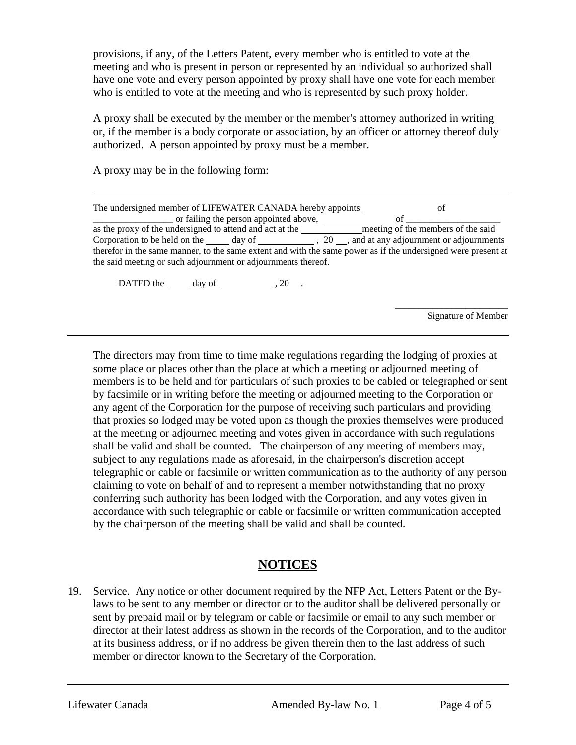provisions, if any, of the Letters Patent, every member who is entitled to vote at the meeting and who is present in person or represented by an individual so authorized shall have one vote and every person appointed by proxy shall have one vote for each member who is entitled to vote at the meeting and who is represented by such proxy holder.

A proxy shall be executed by the member or the member's attorney authorized in writing or, if the member is a body corporate or association, by an officer or attorney thereof duly authorized. A person appointed by proxy must be a member.

A proxy may be in the following form:

| The undersigned member of LIFEWATER CANADA hereby appoints                                                    | - OT                               |
|---------------------------------------------------------------------------------------------------------------|------------------------------------|
| or failing the person appointed above,                                                                        |                                    |
| as the proxy of the undersigned to attend and act at the                                                      | meeting of the members of the said |
| Corporation to be held on the day of , 20, and at any adjournment or adjournments                             |                                    |
| therefor in the same manner, to the same extent and with the same power as if the undersigned were present at |                                    |
| the said meeting or such adjournment or adjournments thereof.                                                 |                                    |

DATED the  $\_\_\_\$  day of  $\_\_\_\_\_\$ , 20 $\_\_\_\$ .

**\_\_\_\_\_\_\_\_\_\_\_\_\_\_\_\_\_\_\_\_\_\_\_\_**  Signature of Member

The directors may from time to time make regulations regarding the lodging of proxies at some place or places other than the place at which a meeting or adjourned meeting of members is to be held and for particulars of such proxies to be cabled or telegraphed or sent by facsimile or in writing before the meeting or adjourned meeting to the Corporation or any agent of the Corporation for the purpose of receiving such particulars and providing that proxies so lodged may be voted upon as though the proxies themselves were produced at the meeting or adjourned meeting and votes given in accordance with such regulations shall be valid and shall be counted. The chairperson of any meeting of members may, subject to any regulations made as aforesaid, in the chairperson's discretion accept telegraphic or cable or facsimile or written communication as to the authority of any person claiming to vote on behalf of and to represent a member notwithstanding that no proxy conferring such authority has been lodged with the Corporation, and any votes given in accordance with such telegraphic or cable or facsimile or written communication accepted by the chairperson of the meeting shall be valid and shall be counted.

# **NOTICES**

19. Service. Any notice or other document required by the NFP Act, Letters Patent or the Bylaws to be sent to any member or director or to the auditor shall be delivered personally or sent by prepaid mail or by telegram or cable or facsimile or email to any such member or director at their latest address as shown in the records of the Corporation, and to the auditor at its business address, or if no address be given therein then to the last address of such member or director known to the Secretary of the Corporation.